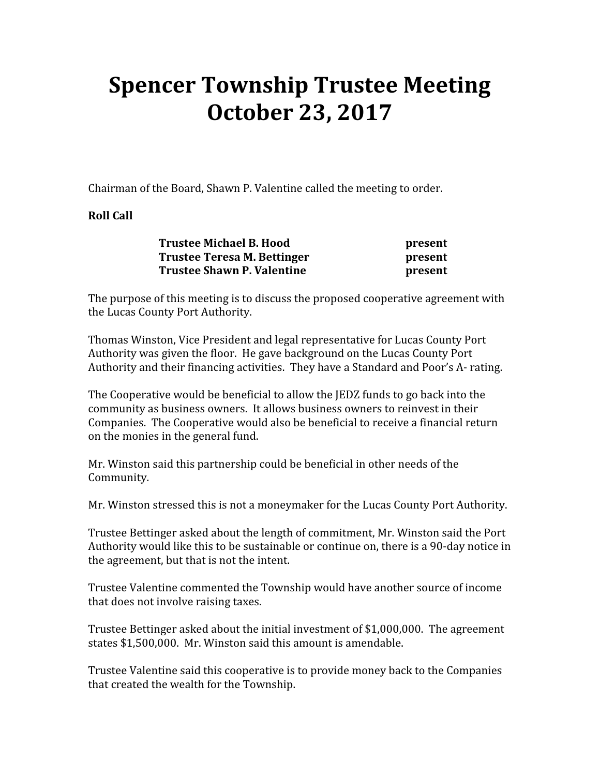## Spencer Township Trustee Meeting October 23, 2017

Chairman of the Board, Shawn P. Valentine called the meeting to order.

## Roll Call

| <b>Trustee Michael B. Hood</b>                            | present |
|-----------------------------------------------------------|---------|
| Trustee Teresa M. Bettinger<br>Trustee Shawn P. Valentine | present |
|                                                           | present |

The purpose of this meeting is to discuss the proposed cooperative agreement with the Lucas County Port Authority.

Thomas Winston, Vice President and legal representative for Lucas County Port Authority was given the floor. He gave background on the Lucas County Port Authority and their financing activities. They have a Standard and Poor's A- rating.

The Cooperative would be beneficial to allow the JEDZ funds to go back into the community as business owners. It allows business owners to reinvest in their Companies. The Cooperative would also be beneficial to receive a financial return on the monies in the general fund.

Mr. Winston said this partnership could be beneficial in other needs of the Community.

Mr. Winston stressed this is not a moneymaker for the Lucas County Port Authority.

Trustee Bettinger asked about the length of commitment, Mr. Winston said the Port Authority would like this to be sustainable or continue on, there is a 90-day notice in the agreement, but that is not the intent.

Trustee Valentine commented the Township would have another source of income that does not involve raising taxes.

Trustee Bettinger asked about the initial investment of \$1,000,000. The agreement states \$1,500,000. Mr. Winston said this amount is amendable.

Trustee Valentine said this cooperative is to provide money back to the Companies that created the wealth for the Township.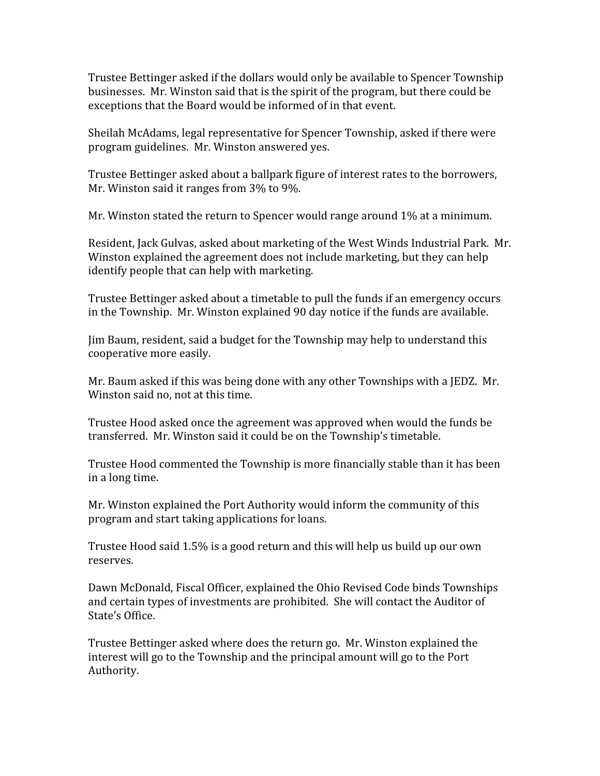Trustee Bettinger asked if the dollars would only be available to Spencer Township businesses. Mr. Winston said that is the spirit of the program, but there could be exceptions that the Board would be informed of in that event.

Sheilah McAdams, legal representative for Spencer Township, asked if there were program guidelines. Mr. Winston answered yes.

Trustee Bettinger asked about a ballpark figure of interest rates to the borrowers, Mr. Winston said it ranges from 3% to 9%.

Mr. Winston stated the return to Spencer would range around 1% at a minimum.

Resident, Jack Gulvas, asked about marketing of the West Winds Industrial Park. Mr. Winston explained the agreement does not include marketing, but they can help identify people that can help with marketing.

Trustee Bettinger asked about a timetable to pull the funds if an emergency occurs in the Township. Mr. Winston explained 90 day notice if the funds are available.

Jim Baum, resident, said a budget for the Township may help to understand this cooperative more easily.

Mr. Baum asked if this was being done with any other Townships with a JEDZ. Mr. Winston said no, not at this time.

Trustee Hood asked once the agreement was approved when would the funds be transferred. Mr. Winston said it could be on the Township's timetable.

Trustee Hood commented the Township is more financially stable than it has been in a long time.

Mr. Winston explained the Port Authority would inform the community of this program and start taking applications for loans.

Trustee Hood said 1.5% is a good return and this will help us build up our own reserves.

Dawn McDonald, Fiscal Officer, explained the Ohio Revised Code binds Townships and certain types of investments are prohibited. She will contact the Auditor of State's Office.

Trustee Bettinger asked where does the return go. Mr. Winston explained the interest will go to the Township and the principal amount will go to the Port Authority.